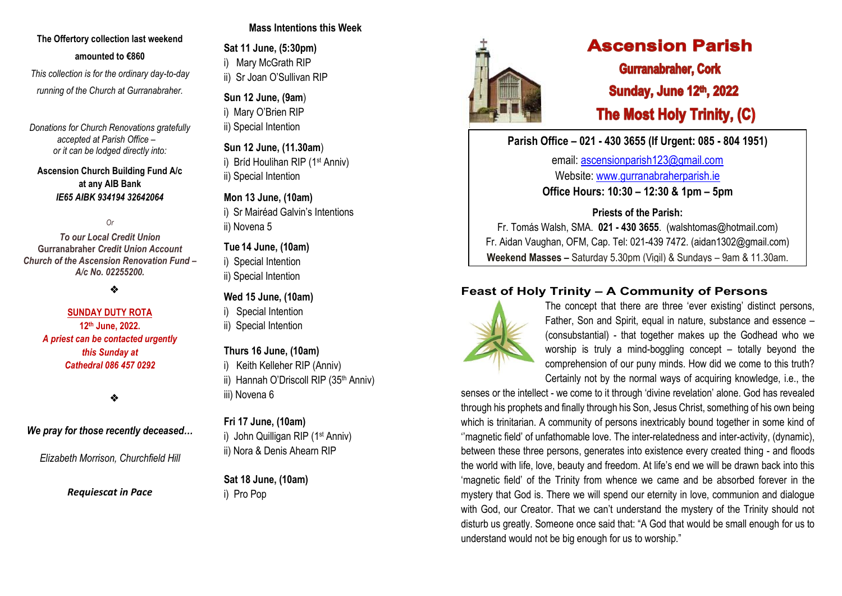## **The Offertory collection last weekend amounted to €860**

*This collection is for the ordinary day-to-day running of the Church at Gurranabraher.*

*Donations for Church Renovations gratefully accepted at Parish Office – or it can be lodged directly into:*

#### **Ascension Church Building Fund A/c at any AIB Bank**  *IE65 AIBK 934194 32642064*

*Or* 

*To our Local Credit Union* **Gurranabraher** *Credit Union Account Church of the Ascension Renovation Fund – A/c No. 02255200.*

❖

#### **SUNDAY DUTY ROTA 12th June, 2022.** *A priest can be contacted urgently this Sunday at Cathedral 086 457 0292*

❖

## *We pray for those recently deceased…*

*Elizabeth Morrison, Churchfield Hill*

*Requiescat in Pace*

# **Mass Intentions this Week**

**Sat 11 June, (5:30pm)**

i) Mary McGrath RIP

ii) Sr Joan O'Sullivan RIP

**Sun 12 June, (9am**) i) Mary O'Brien RIP ii) Special Intention

**Sun 12 June, (11.30am**) i) Bríd Houlihan RIP (1st Anniv) ii) Special Intention

## **Mon 13 June, (10am)**

i) Sr Mairéad Galvin's Intentions ii) Novena 5

# **Tue 14 June, (10am)**

i) Special Intention

ii) Special Intention

# **Wed 15 June, (10am)**

- i) Special Intention
- ii) Special Intention

### **Thurs 16 June, (10am)**

- i) Keith Kelleher RIP (Anniv)
- ii) Hannah O'Driscoll RIP (35<sup>th</sup> Anniv) iii) Novena 6

## **Fri 17 June, (10am)**

i) John Quilligan RIP (1<sup>st</sup> Anniv) ii) Nora & Denis Ahearn RIP

**Sat 18 June, (10am)** i) Pro Pop



# **Ascension Parish**

**Gurranabraher, Cork Sunday, June 12th, 2022 The Most Holy Trinity, (C)** 

**Parish Office – 021 - 430 3655 (If Urgent: 085 - 804 1951)**

email: [ascensionparish123@gmail.com](mailto:ascensionparish123@gmail.com) Website: [www.gurranabraherparish.ie](http://www.gurranabraherparish.ie/) **Office Hours: 10:30 – 12:30 & 1pm – 5pm**

**Priests of the Parish:**

Fr. Tomás Walsh, SMA. **021 - 430 3655**. (walshtomas@hotmail.com) Fr. Aidan Vaughan, OFM, Cap. Tel: 021-439 7472. [\(aidan1302@gmail.com\)](mailto:aidan1302@gmail.com) **Weekend Masses –** Saturday 5.30pm (Vigil) & Sundays – 9am & 11.30am.

# **Feast of Holy Trinity – A Community of Persons**



The concept that there are three 'ever existing' distinct persons, Father, Son and Spirit, equal in nature, substance and essence – (consubstantial) - that together makes up the Godhead who we worship is truly a mind-boggling concept – totally beyond the comprehension of our puny minds. How did we come to this truth? Certainly not by the normal ways of acquiring knowledge, i.e., the

senses or the intellect - we come to it through 'divine revelation' alone. God has revealed through his prophets and finally through his Son, Jesus Christ, something of his own being which is trinitarian. A community of persons inextricably bound together in some kind of ''magnetic field' of unfathomable love. The inter-relatedness and inter-activity, (dynamic), between these three persons, generates into existence every created thing - and floods the world with life, love, beauty and freedom. At life's end we will be drawn back into this 'magnetic field' of the Trinity from whence we came and be absorbed forever in the mystery that God is. There we will spend our eternity in love, communion and dialogue with God, our Creator. That we can't understand the mystery of the Trinity should not disturb us greatly. Someone once said that: "A God that would be small enough for us to understand would not be big enough for us to worship."